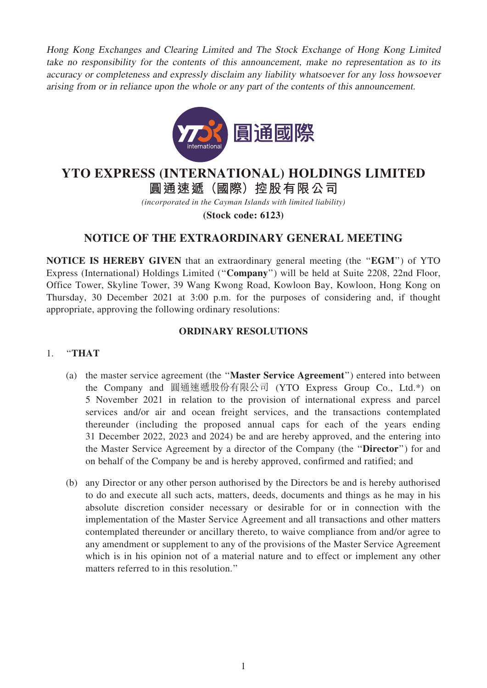Hong Kong Exchanges and Clearing Limited and The Stock Exchange of Hong Kong Limited take no responsibility for the contents of this announcement, make no representation as to its accuracy or completeness and expressly disclaim any liability whatsoever for any loss howsoever arising from or in reliance upon the whole or any part of the contents of this announcement.



# **YTO EXPRESS (INTERNATIONAL) HOLDINGS LIMITED**

**圓通速遞(國際)控股有限公司**

*(incorporated in the Cayman Islands with limited liability)*

**(Stock code: 6123)**

## NOTICE OF THE EXTRAORDINARY GENERAL MEETING

NOTICE IS HEREBY GIVEN that an extraordinary general meeting (the ''EGM'') of YTO Express (International) Holdings Limited (''Company'') will be held at Suite 2208, 22nd Floor, Office Tower, Skyline Tower, 39 Wang Kwong Road, Kowloon Bay, Kowloon, Hong Kong on Thursday, 30 December 2021 at 3:00 p.m. for the purposes of considering and, if thought appropriate, approving the following ordinary resolutions:

#### ORDINARY RESOLUTIONS

### 1. ''THAT

- (a) the master service agreement (the ''Master Service Agreement'') entered into between the Company and 圓通速遞股份有限公司 (YTO Express Group Co., Ltd.\*) on 5 November 2021 in relation to the provision of international express and parcel services and/or air and ocean freight services, and the transactions contemplated thereunder (including the proposed annual caps for each of the years ending 31 December 2022, 2023 and 2024) be and are hereby approved, and the entering into the Master Service Agreement by a director of the Company (the ''Director'') for and on behalf of the Company be and is hereby approved, confirmed and ratified; and
- (b) any Director or any other person authorised by the Directors be and is hereby authorised to do and execute all such acts, matters, deeds, documents and things as he may in his absolute discretion consider necessary or desirable for or in connection with the implementation of the Master Service Agreement and all transactions and other matters contemplated thereunder or ancillary thereto, to waive compliance from and/or agree to any amendment or supplement to any of the provisions of the Master Service Agreement which is in his opinion not of a material nature and to effect or implement any other matters referred to in this resolution.''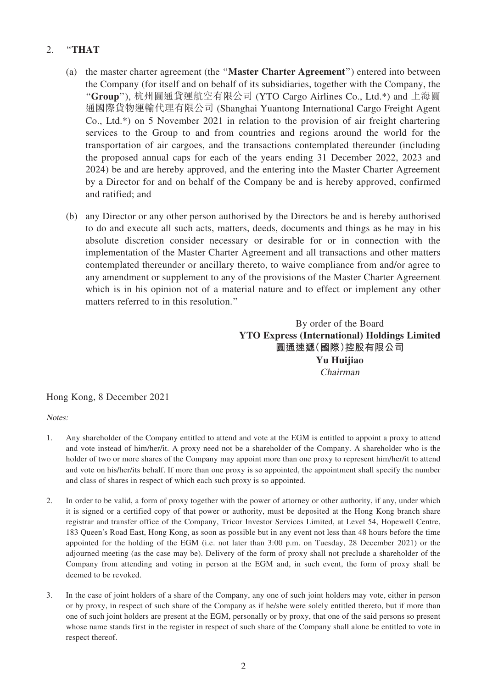#### 2. "THAT

- (a) the master charter agreement (the ''Master Charter Agreement'') entered into between the Company (for itself and on behalf of its subsidiaries, together with the Company, the ''Group''), 杭州圓通貨運航空有限公司 (YTO Cargo Airlines Co., Ltd.\*) and 上海圓 通國際貨物運輸代理有限公司 (Shanghai Yuantong International Cargo Freight Agent Co., Ltd.\*) on 5 November 2021 in relation to the provision of air freight chartering services to the Group to and from countries and regions around the world for the transportation of air cargoes, and the transactions contemplated thereunder (including the proposed annual caps for each of the years ending 31 December 2022, 2023 and 2024) be and are hereby approved, and the entering into the Master Charter Agreement by a Director for and on behalf of the Company be and is hereby approved, confirmed and ratified; and
- (b) any Director or any other person authorised by the Directors be and is hereby authorised to do and execute all such acts, matters, deeds, documents and things as he may in his absolute discretion consider necessary or desirable for or in connection with the implementation of the Master Charter Agreement and all transactions and other matters contemplated thereunder or ancillary thereto, to waive compliance from and/or agree to any amendment or supplement to any of the provisions of the Master Charter Agreement which is in his opinion not of a material nature and to effect or implement any other matters referred to in this resolution.''

By order of the Board YTO Express (International) Holdings Limited 圓通速遞(國際)控股有限公司 Yu Huijiao Chairman

#### Hong Kong, 8 December 2021

Notes:

- 1. Any shareholder of the Company entitled to attend and vote at the EGM is entitled to appoint a proxy to attend and vote instead of him/her/it. A proxy need not be a shareholder of the Company. A shareholder who is the holder of two or more shares of the Company may appoint more than one proxy to represent him/her/it to attend and vote on his/her/its behalf. If more than one proxy is so appointed, the appointment shall specify the number and class of shares in respect of which each such proxy is so appointed.
- 2. In order to be valid, a form of proxy together with the power of attorney or other authority, if any, under which it is signed or a certified copy of that power or authority, must be deposited at the Hong Kong branch share registrar and transfer office of the Company, Tricor Investor Services Limited, at Level 54, Hopewell Centre, 183 Queen's Road East, Hong Kong, as soon as possible but in any event not less than 48 hours before the time appointed for the holding of the EGM (i.e. not later than 3:00 p.m. on Tuesday, 28 December 2021) or the adjourned meeting (as the case may be). Delivery of the form of proxy shall not preclude a shareholder of the Company from attending and voting in person at the EGM and, in such event, the form of proxy shall be deemed to be revoked.
- 3. In the case of joint holders of a share of the Company, any one of such joint holders may vote, either in person or by proxy, in respect of such share of the Company as if he/she were solely entitled thereto, but if more than one of such joint holders are present at the EGM, personally or by proxy, that one of the said persons so present whose name stands first in the register in respect of such share of the Company shall alone be entitled to vote in respect thereof.